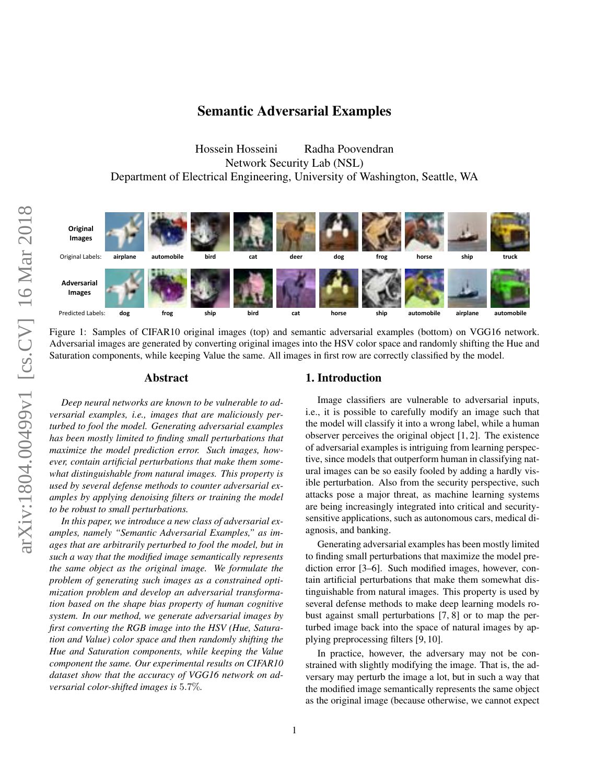# Semantic Adversarial Examples

Hossein Hosseini Radha Poovendran Network Security Lab (NSL) Department of Electrical Engineering, University of Washington, Seattle, WA



Figure 1: Samples of CIFAR10 original images (top) and semantic adversarial examples (bottom) on VGG16 network. Adversarial images are generated by converting original images into the HSV color space and randomly shifting the Hue and Saturation components, while keeping Value the same. All images in first row are correctly classified by the model.

### Abstract

*Deep neural networks are known to be vulnerable to adversarial examples, i.e., images that are maliciously perturbed to fool the model. Generating adversarial examples has been mostly limited to finding small perturbations that maximize the model prediction error. Such images, however, contain artificial perturbations that make them somewhat distinguishable from natural images. This property is used by several defense methods to counter adversarial examples by applying denoising filters or training the model to be robust to small perturbations.*

*In this paper, we introduce a new class of adversarial examples, namely "Semantic Adversarial Examples," as images that are arbitrarily perturbed to fool the model, but in such a way that the modified image semantically represents the same object as the original image. We formulate the problem of generating such images as a constrained optimization problem and develop an adversarial transformation based on the shape bias property of human cognitive system. In our method, we generate adversarial images by first converting the RGB image into the HSV (Hue, Saturation and Value) color space and then randomly shifting the Hue and Saturation components, while keeping the Value component the same. Our experimental results on CIFAR10 dataset show that the accuracy of VGG16 network on adversarial color-shifted images is* 5.7%*.*

### 1. Introduction

Image classifiers are vulnerable to adversarial inputs, i.e., it is possible to carefully modify an image such that the model will classify it into a wrong label, while a human observer perceives the original object [1, 2]. The existence of adversarial examples is intriguing from learning perspective, since models that outperform human in classifying natural images can be so easily fooled by adding a hardly visible perturbation. Also from the security perspective, such attacks pose a major threat, as machine learning systems are being increasingly integrated into critical and securitysensitive applications, such as autonomous cars, medical diagnosis, and banking.

Generating adversarial examples has been mostly limited to finding small perturbations that maximize the model prediction error [3–6]. Such modified images, however, contain artificial perturbations that make them somewhat distinguishable from natural images. This property is used by several defense methods to make deep learning models robust against small perturbations [7, 8] or to map the perturbed image back into the space of natural images by applying preprocessing filters [9, 10].

In practice, however, the adversary may not be constrained with slightly modifying the image. That is, the adversary may perturb the image a lot, but in such a way that the modified image semantically represents the same object as the original image (because otherwise, we cannot expect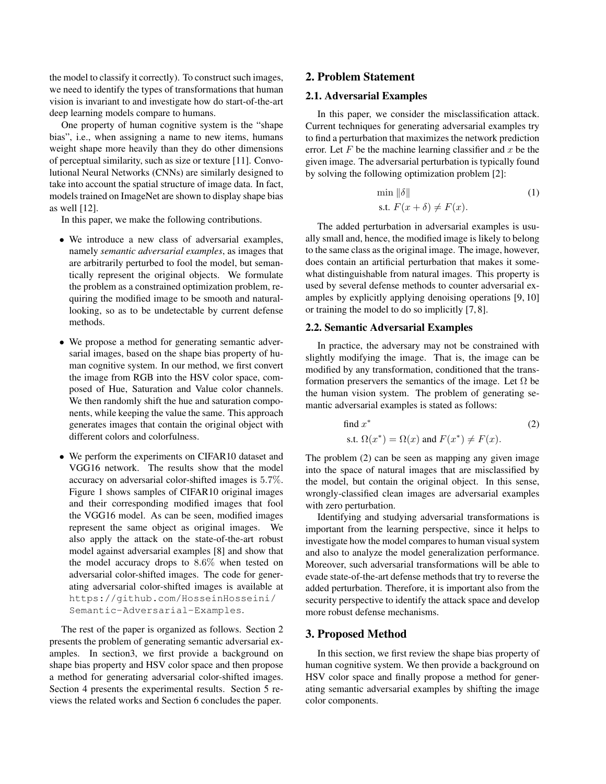the model to classify it correctly). To construct such images, we need to identify the types of transformations that human vision is invariant to and investigate how do start-of-the-art deep learning models compare to humans.

One property of human cognitive system is the "shape bias", i.e., when assigning a name to new items, humans weight shape more heavily than they do other dimensions of perceptual similarity, such as size or texture [11]. Convolutional Neural Networks (CNNs) are similarly designed to take into account the spatial structure of image data. In fact, models trained on ImageNet are shown to display shape bias as well [12].

In this paper, we make the following contributions.

- We introduce a new class of adversarial examples, namely *semantic adversarial examples*, as images that are arbitrarily perturbed to fool the model, but semantically represent the original objects. We formulate the problem as a constrained optimization problem, requiring the modified image to be smooth and naturallooking, so as to be undetectable by current defense methods.
- We propose a method for generating semantic adversarial images, based on the shape bias property of human cognitive system. In our method, we first convert the image from RGB into the HSV color space, composed of Hue, Saturation and Value color channels. We then randomly shift the hue and saturation components, while keeping the value the same. This approach generates images that contain the original object with different colors and colorfulness.
- We perform the experiments on CIFAR10 dataset and VGG16 network. The results show that the model accuracy on adversarial color-shifted images is 5.7%. Figure 1 shows samples of CIFAR10 original images and their corresponding modified images that fool the VGG16 model. As can be seen, modified images represent the same object as original images. We also apply the attack on the state-of-the-art robust model against adversarial examples [8] and show that the model accuracy drops to 8.6% when tested on adversarial color-shifted images. The code for generating adversarial color-shifted images is available at https://github.com/HosseinHosseini/ Semantic-Adversarial-Examples.

The rest of the paper is organized as follows. Section 2 presents the problem of generating semantic adversarial examples. In section3, we first provide a background on shape bias property and HSV color space and then propose a method for generating adversarial color-shifted images. Section 4 presents the experimental results. Section 5 reviews the related works and Section 6 concludes the paper.

## 2. Problem Statement

#### 2.1. Adversarial Examples

In this paper, we consider the misclassification attack. Current techniques for generating adversarial examples try to find a perturbation that maximizes the network prediction error. Let  $F$  be the machine learning classifier and  $x$  be the given image. The adversarial perturbation is typically found by solving the following optimization problem [2]:

$$
\min \|\delta\|
$$
  
s.t.  $F(x + \delta) \neq F(x)$ . (1)

The added perturbation in adversarial examples is usually small and, hence, the modified image is likely to belong to the same class as the original image. The image, however, does contain an artificial perturbation that makes it somewhat distinguishable from natural images. This property is used by several defense methods to counter adversarial examples by explicitly applying denoising operations [9, 10] or training the model to do so implicitly [7, 8].

### 2.2. Semantic Adversarial Examples

In practice, the adversary may not be constrained with slightly modifying the image. That is, the image can be modified by any transformation, conditioned that the transformation preservers the semantics of the image. Let  $\Omega$  be the human vision system. The problem of generating semantic adversarial examples is stated as follows:

find 
$$
x^*
$$
 (2)  
s.t.  $\Omega(x^*) = \Omega(x)$  and  $F(x^*) \neq F(x)$ .

The problem (2) can be seen as mapping any given image into the space of natural images that are misclassified by the model, but contain the original object. In this sense, wrongly-classified clean images are adversarial examples with zero perturbation.

Identifying and studying adversarial transformations is important from the learning perspective, since it helps to investigate how the model compares to human visual system and also to analyze the model generalization performance. Moreover, such adversarial transformations will be able to evade state-of-the-art defense methods that try to reverse the added perturbation. Therefore, it is important also from the security perspective to identify the attack space and develop more robust defense mechanisms.

### 3. Proposed Method

In this section, we first review the shape bias property of human cognitive system. We then provide a background on HSV color space and finally propose a method for generating semantic adversarial examples by shifting the image color components.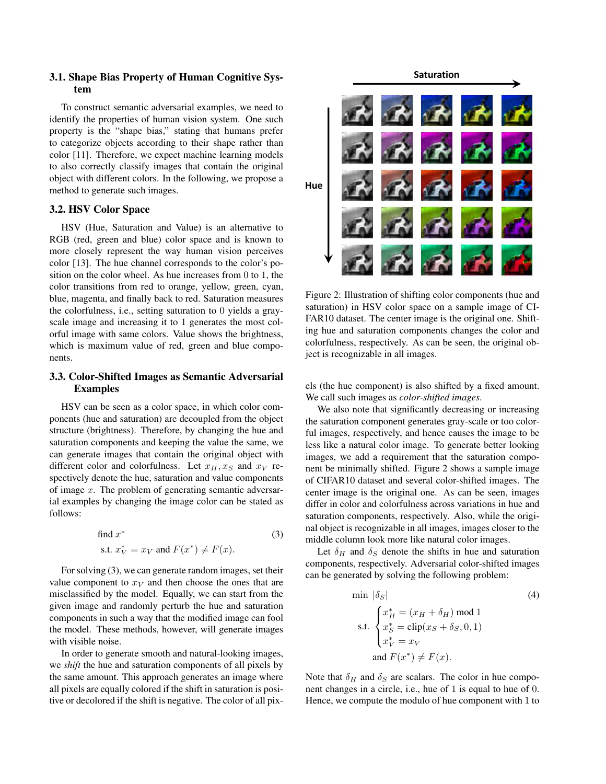### 3.1. Shape Bias Property of Human Cognitive System

To construct semantic adversarial examples, we need to identify the properties of human vision system. One such property is the "shape bias," stating that humans prefer to categorize objects according to their shape rather than color [11]. Therefore, we expect machine learning models to also correctly classify images that contain the original object with different colors. In the following, we propose a method to generate such images.

#### 3.2. HSV Color Space

HSV (Hue, Saturation and Value) is an alternative to RGB (red, green and blue) color space and is known to more closely represent the way human vision perceives color [13]. The hue channel corresponds to the color's position on the color wheel. As hue increases from 0 to 1, the color transitions from red to orange, yellow, green, cyan, blue, magenta, and finally back to red. Saturation measures the colorfulness, i.e., setting saturation to 0 yields a grayscale image and increasing it to 1 generates the most colorful image with same colors. Value shows the brightness, which is maximum value of red, green and blue components.

## 3.3. Color-Shifted Images as Semantic Adversarial Examples

HSV can be seen as a color space, in which color components (hue and saturation) are decoupled from the object structure (brightness). Therefore, by changing the hue and saturation components and keeping the value the same, we can generate images that contain the original object with different color and colorfulness. Let  $x_H, x_S$  and  $x_V$  respectively denote the hue, saturation and value components of image  $x$ . The problem of generating semantic adversarial examples by changing the image color can be stated as follows:

find 
$$
x^*
$$
 (3)  
s.t.  $x_V^* = x_V$  and  $F(x^*) \neq F(x)$ .

For solving (3), we can generate random images, set their value component to  $x_V$  and then choose the ones that are misclassified by the model. Equally, we can start from the given image and randomly perturb the hue and saturation components in such a way that the modified image can fool the model. These methods, however, will generate images with visible noise.

In order to generate smooth and natural-looking images, we *shift* the hue and saturation components of all pixels by the same amount. This approach generates an image where all pixels are equally colored if the shift in saturation is positive or decolored if the shift is negative. The color of all pix-



Figure 2: Illustration of shifting color components (hue and saturation) in HSV color space on a sample image of CI-FAR10 dataset. The center image is the original one. Shifting hue and saturation components changes the color and colorfulness, respectively. As can be seen, the original object is recognizable in all images.

els (the hue component) is also shifted by a fixed amount. We call such images as *color-shifted images*.

We also note that significantly decreasing or increasing the saturation component generates gray-scale or too colorful images, respectively, and hence causes the image to be less like a natural color image. To generate better looking images, we add a requirement that the saturation component be minimally shifted. Figure 2 shows a sample image of CIFAR10 dataset and several color-shifted images. The center image is the original one. As can be seen, images differ in color and colorfulness across variations in hue and saturation components, respectively. Also, while the original object is recognizable in all images, images closer to the middle column look more like natural color images.

Let  $\delta_H$  and  $\delta_S$  denote the shifts in hue and saturation components, respectively. Adversarial color-shifted images can be generated by solving the following problem:

$$
\min |\delta_S|
$$
\n
$$
\text{s.t.} \begin{cases}\nx_H^* = (x_H + \delta_H) \text{ mod } 1 \\
x_S^* = \text{clip}(x_S + \delta_S, 0, 1) \\
x_V^* = x_V \\
\text{and } F(x^*) \neq F(x).\n\end{cases}
$$
\n(4)

Note that  $\delta_H$  and  $\delta_S$  are scalars. The color in hue component changes in a circle, i.e., hue of 1 is equal to hue of 0. Hence, we compute the modulo of hue component with 1 to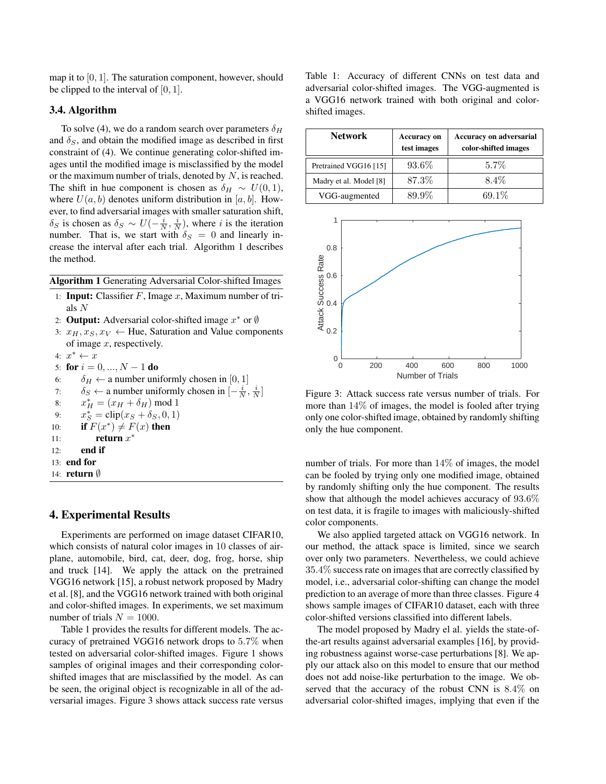map it to  $[0, 1]$ . The saturation component, however, should be clipped to the interval of [0, 1].

#### 3.4. Algorithm

To solve (4), we do a random search over parameters  $\delta_H$ and  $\delta_S$ , and obtain the modified image as described in first constraint of (4). We continue generating color-shifted images until the modified image is misclassified by the model or the maximum number of trials, denoted by  $N$ , is reached. The shift in hue component is chosen as  $\delta_H \sim U(0, 1)$ , where  $U(a, b)$  denotes uniform distribution in [a, b]. However, to find adversarial images with smaller saturation shift,  $\delta_S$  is chosen as  $\delta_S \sim U(-\frac{i}{N}, \frac{i}{N})$ , where *i* is the iteration number. That is, we start with  $\delta_S = 0$  and linearly increase the interval after each trial. Algorithm 1 describes the method.

|  |  |  | Algorithm 1 Generating Adversarial Color-shifted Images |  |
|--|--|--|---------------------------------------------------------|--|
|--|--|--|---------------------------------------------------------|--|

- 1: **Input:** Classifier  $F$ , Image  $x$ , Maximum number of trials N
- 2: **Output:** Adversarial color-shifted image  $x^*$  or  $\emptyset$
- 3:  $x_H, x_S, x_V \leftarrow$  Hue, Saturation and Value components of image  $x$ , respectively.

4:  $x^* \leftarrow x$ 

- 5: for  $i = 0, ..., N 1$  do<br>6:  $\delta_H \leftarrow$  a number uni
- 6:  $\delta_H \leftarrow$  a number uniformly chosen in  $[0, 1]$ <br>7:  $\delta_S \leftarrow$  a number uniformly chosen in  $\left[-\frac{i}{N}\right]$
- 7:  $\delta_S \leftarrow$  a number uniformly chosen in  $\left[-\frac{i}{N}, \frac{i}{N}\right]$
- 8:  $x_H^* = (x_H + \delta_H) \text{ mod } 1$
- 9:  $x_S^* = \text{clip}(x_S + \delta_S, 0, 1)$
- 10: **if**  $F(x^*) \neq F(x)$  then
- 11: **return**  $x^*$
- 12: end if
- 13: end for
- 14: return ∅

### 4. Experimental Results

Experiments are performed on image dataset CIFAR10, which consists of natural color images in 10 classes of airplane, automobile, bird, cat, deer, dog, frog, horse, ship and truck [14]. We apply the attack on the pretrained VGG16 network [15], a robust network proposed by Madry et al. [8], and the VGG16 network trained with both original and color-shifted images. In experiments, we set maximum number of trials  $N = 1000$ .

Table 1 provides the results for different models. The accuracy of pretrained VGG16 network drops to 5.7% when tested on adversarial color-shifted images. Figure 1 shows samples of original images and their corresponding colorshifted images that are misclassified by the model. As can be seen, the original object is recognizable in all of the adversarial images. Figure 3 shows attack success rate versus

Table 1: Accuracy of different CNNs on test data and adversarial color-shifted images. The VGG-augmented is a VGG16 network trained with both original and colorshifted images.

| <b>Network</b>         | <b>Accuracy on</b><br>test images | <b>Accuracy on adversarial</b><br>color-shifted images |
|------------------------|-----------------------------------|--------------------------------------------------------|
| Pretrained VGG16 [15]  | 93.6%                             | 5.7%                                                   |
| Madry et al. Model [8] | 87.3%                             | $8.4\%$                                                |
| VGG-augmented          | 89.9%                             | $69.1\%$                                               |



Figure 3: Attack success rate versus number of trials. For more than 14% of images, the model is fooled after trying only one color-shifted image, obtained by randomly shifting only the hue component.

number of trials. For more than 14% of images, the model can be fooled by trying only one modified image, obtained by randomly shifting only the hue component. The results show that although the model achieves accuracy of 93.6% on test data, it is fragile to images with maliciously-shifted color components.

We also applied targeted attack on VGG16 network. In our method, the attack space is limited, since we search over only two parameters. Nevertheless, we could achieve 35.4% success rate on images that are correctly classified by model, i.e., adversarial color-shifting can change the model prediction to an average of more than three classes. Figure 4 shows sample images of CIFAR10 dataset, each with three color-shifted versions classified into different labels.

The model proposed by Madry el al. yields the state-ofthe-art results against adversarial examples [16], by providing robustness against worse-case perturbations [8]. We apply our attack also on this model to ensure that our method does not add noise-like perturbation to the image. We observed that the accuracy of the robust CNN is 8.4% on adversarial color-shifted images, implying that even if the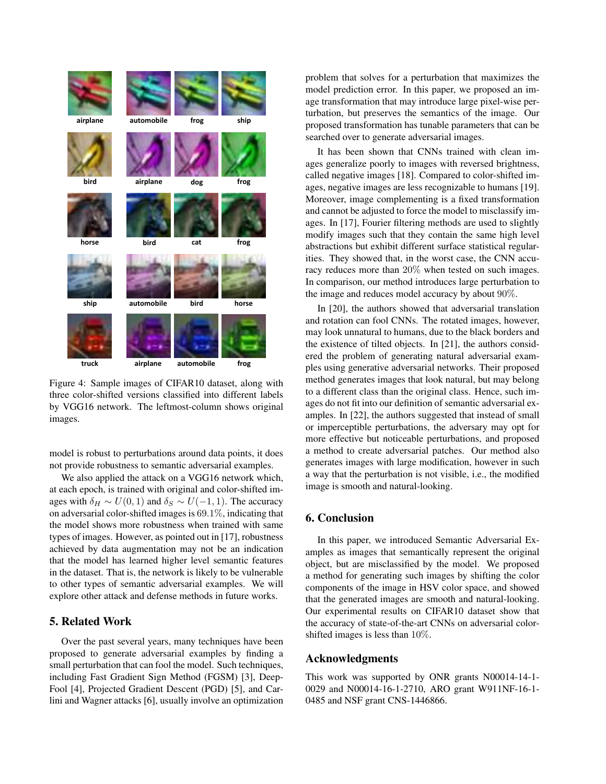

images.

Figure 4: Sample images of CIFAR10 dataset, along with three color-shifted versions classified into different labels by VGG16 network. The leftmost-column shows original

model is robust to perturbations around data points, it does not provide robustness to semantic adversarial examples.

We also applied the attack on a VGG16 network which, at each epoch, is trained with original and color-shifted images with  $\delta_H \sim U(0, 1)$  and  $\delta_S \sim U(-1, 1)$ . The accuracy on adversarial color-shifted images is 69.1%, indicating that the model shows more robustness when trained with same types of images. However, as pointed out in [17], robustness achieved by data augmentation may not be an indication that the model has learned higher level semantic features in the dataset. That is, the network is likely to be vulnerable to other types of semantic adversarial examples. We will explore other attack and defense methods in future works.

## 5. Related Work

Over the past several years, many techniques have been proposed to generate adversarial examples by finding a small perturbation that can fool the model. Such techniques, including Fast Gradient Sign Method (FGSM) [3], Deep-Fool [4], Projected Gradient Descent (PGD) [5], and Carlini and Wagner attacks [6], usually involve an optimization problem that solves for a perturbation that maximizes the model prediction error. In this paper, we proposed an image transformation that may introduce large pixel-wise perturbation, but preserves the semantics of the image. Our proposed transformation has tunable parameters that can be searched over to generate adversarial images.

It has been shown that CNNs trained with clean images generalize poorly to images with reversed brightness, called negative images [18]. Compared to color-shifted images, negative images are less recognizable to humans [19]. Moreover, image complementing is a fixed transformation and cannot be adjusted to force the model to misclassify images. In [17], Fourier filtering methods are used to slightly modify images such that they contain the same high level abstractions but exhibit different surface statistical regularities. They showed that, in the worst case, the CNN accuracy reduces more than 20% when tested on such images. In comparison, our method introduces large perturbation to the image and reduces model accuracy by about 90%.

In [20], the authors showed that adversarial translation and rotation can fool CNNs. The rotated images, however, may look unnatural to humans, due to the black borders and the existence of tilted objects. In [21], the authors considered the problem of generating natural adversarial examples using generative adversarial networks. Their proposed method generates images that look natural, but may belong to a different class than the original class. Hence, such images do not fit into our definition of semantic adversarial examples. In [22], the authors suggested that instead of small or imperceptible perturbations, the adversary may opt for more effective but noticeable perturbations, and proposed a method to create adversarial patches. Our method also generates images with large modification, however in such a way that the perturbation is not visible, i.e., the modified image is smooth and natural-looking.

## 6. Conclusion

In this paper, we introduced Semantic Adversarial Examples as images that semantically represent the original object, but are misclassified by the model. We proposed a method for generating such images by shifting the color components of the image in HSV color space, and showed that the generated images are smooth and natural-looking. Our experimental results on CIFAR10 dataset show that the accuracy of state-of-the-art CNNs on adversarial colorshifted images is less than 10%.

## Acknowledgments

This work was supported by ONR grants N00014-14-1- 0029 and N00014-16-1-2710, ARO grant W911NF-16-1- 0485 and NSF grant CNS-1446866.